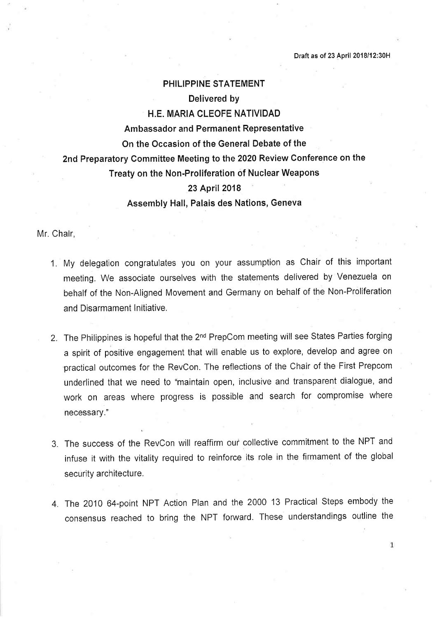## PHILIPPINE STATEMENT Delivered by H.E. MARIA CLEOFE NATIVIDAD Ambassador and Permanent Representative On the Occasion of the General Debate of the 2nd Preparatory Committee Meeting to the 2020 Review Conference on the Treaty on the Non-Proliferation of Nuclear Weapons 23 April 2018

Assembly Hall, Palais des Nations, Geneva

Mr. Chair,

- 1. My delegation congratulates you on your assumption as Chair of this important meeting. We associate ourselves with the statements delivered by Venezuela on behalf of the Non-Aligned Movement and Germany on behalf of the Non-Proliferation and Disarmament Initiative.
- 2. The Philippines is hopeful that the 2<sup>nd</sup> PrepCom meeting will see States Parties forging a spirit of positive engagement that will enable us to explore, develop and agree on 'practical outcomes for the RevCon. The reflections of the Chair of the First Prepcom underlined that we need to "maintain open, inclusive and transparent dialogue, and work on areas where progress is possible and search for compromise where necessary.
- 3. The success of the RevCon will reaffirm ou? collective commitment to the NPT and infuse it with the vitality required to reinforce its role in the firmament of the global security architecture.
- 4. The 2010 64-point NPT Action Plan and the 2000 13 Practical Steps embody the consensus reached to bring the NPT forward. These understandings outline the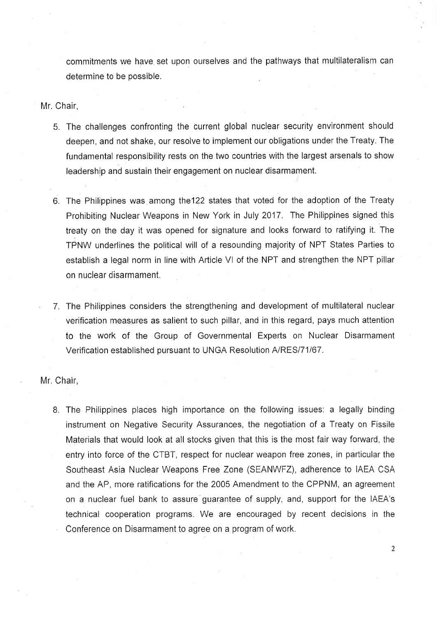commitments we have set upon ourselves and the pathways that multilateralism can determine to be possible.

Mr. Chair,

- 5. The challenges confronting the current global nuclear security environment should deepen, and not shake, our resolve to implement our obligations under the Treaty. The fundamental responsibility rests on the two countries with the largest arsenals to show leadership and sustain their engagement on nuclear disarmament.
- 6. The Philippines was among the122 states that voted for the adoption of the Treaty Prohibiting Nuclear Weapons in New York in July 2017. The Philippines signed this treaty on the day it was opened for signature and looks forward to ratifying it. The TPNW underlines the political will of a resounding majority of NPT States Parties to establish a legal norm in line with Article Vl of the NPT and strengthen the NPT pillar on nuclear disarmament.
- 7. The Philippines considers the strengthening and development of multilateral nuclear verification measures as salient to such pillar, and in this regard, pays much attention to the work of the Group of Governmental Experts on Nuclear Disarmament Verification established pursuant to UNGA Resolution A/RES/71/67.

Mr. Chair,

8. The Philippines places high importance on the following issues: a legally binding instrument on Negative Security Assurances, the negotiation of a Treaty on Fissile Materials that would look at all stocks given that this is the most fair way forward, the entry into force of the CTBT, respect for nuclear weapon free zones, in particular the Southeast Asia Nuclear Weapons Free Zone (SEANWFZ), adherence to IAEA CSA and the AP, more ratifications for the 2005 Amendment to the CPPNM, an agreement on a nuclear fuel bank to assure guarantee of supply, and, support for the IAEA's technical cooperation programs. We are encouraged by recent decisions in the Conference on Disarmament to agree on a program of work.

2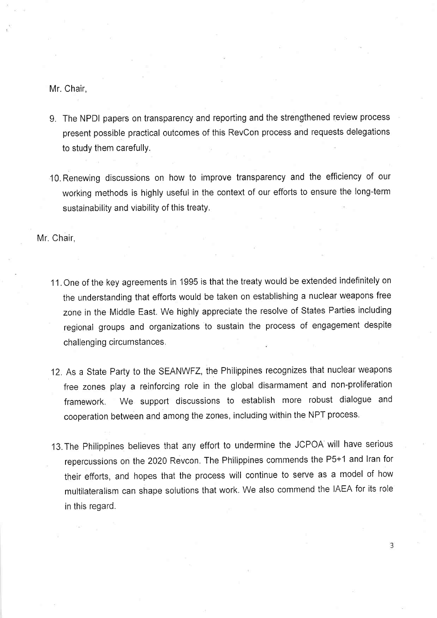Mr. Chair,

- 9. The NPDI papers on transparency and reporting and the strengthened review process present possible practical outcomes of this RevCon process and requests delegations to study them carefully.
- IO.Renewing discussions on how to improve transparency and the efficiency of our working methods is highly useful in the context of our efforts to ensure the long-term sustainability and viability of this treaty.

Mr. Chair,

- 11. One of the key agreements in <sup>1995</sup> is that the treaty would be extended indefinitely on the understanding that efforts would be taken on establishing a nuclear weapons free zone in the Middle East. We highly appreciate the resolve of States Parties including regional groups and organizations to sustain the process of engagement despite challenging circumstances.
- 12. As a State Party to the SEANWFZ, the Philippines recognizes that nuclear weapons free zones play a reinforcing role in the global disarmament and non-proliferation framework. We support discussions to establish more robust dialogue and cooperation between and among the zones, including within the NPT process.
- 13.The Philippines believes that any effort to undermine the JCPOA will have serious repercussions on the 2020 Revcon. The Ph'ilippines commends the P5+1 and Iran for their efforts, and hopes that the process will continue to serve as a model of how multilateralism can shape solutions that work. We also commend the IAEA for its role in this regard.

3